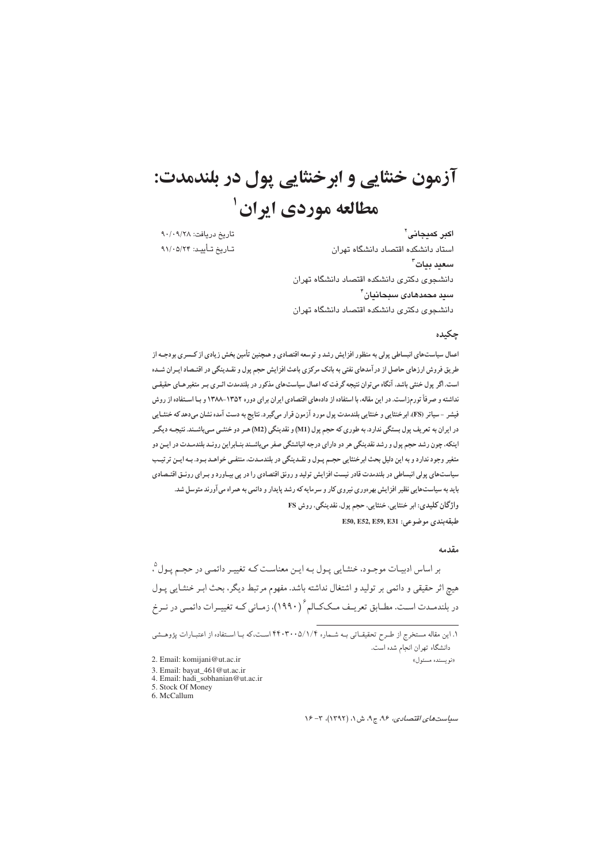# آزمون خنثايي و ابر خنثايي يول در بلندمدت: مطالعه موردي ايران <sup>ا</sup>

تاريخ دريافت: ٩٠/٢٨ تاريخ تأييد: ٩١/٠٥/٢۴

اکبر کمیجانی` استاد دانشکده اقتصاد دانشگاه تهران سعيد بيات<sup>7</sup> دانشجوى دكترى دانشكده اقتصاد دانشگاه تهران سيد محمدهادي سبحانيان ً دانشجوی دکتری دانشکده اقتصاد دانشگاه تهران

## حكىدە

اعمال سیاستهای انبساطی پولی به منظور افزایش رشد و توسعه اقتصادی و همچنین تأمین بخش زیادی از کـسری بودجــه از طریق فروش ارزهای حاصل از در آمدهای نفتی به بانک مرکزی باعث افزایش حجم پول و نقـدینگی در اقتـصاد ایـران شـده است. اگر پول خنثی باشد، آنگاه می توان نتیجه گرفت که اعمال سیاستهای مذکور در بلندمدت اثـری بـر متغیرهـای حقیقـی نداشته و صرفاً تورمزاست. در این مقاله، با استفاده از دادههای اقتصادی ایران برای دوره ۱۳۵۲-۱۳۸۸ و بـا اسـتفاده از روش فیشر -سیاتر (FS)، ابرخنثایی و خنثایی بلندمدت پول مورد آزمون قرار میگیرد. نتایج به دست آمده نشان میدهد که خنثـایی در ایران به تعریف پول بستگی ندارد، به طوری که حجم پول (M1) و نقدینگی (M2) هـر دو خنثـی مـیباشـند. نتیجـه دیگـر اینکه، چون رشد حجم پول و رشد نقدینگی هر دو دارای درجه انباشتگی صفر میباشـند بنـابراین رونـد بلندمـدت در ایـن دو متغیر وجود ندارد و به این دلیل بحث ابرخنثایی حجـم پـول و نقـدینگی در بلندمـدت، منتفـی خواهـد بـود. بـه ایـن ترتیـب سیاستهای پولی انبساطی در بلندمدت قادر نیست افزایش تولید و رونق اقتصادی را در پی بیـاورد و بـرای رونـق اقتـصادی باید به سیاستهایی نظیر افزایش بهرهوری نیروی کار و سرمایه که رشد پایدار و دائمی به همراه می آورند متوسل شد. واژگان کلیدی: ابر خنثایی، خنثایی، حجم پول، نقدینگی، روش FS  $E$ 50, E52, E59, E31 ج وضوعي:  $(2, 2)$ 

#### مقدمه

بر اساس ادبیـات موجـود، خنثـایی پـول بـه ایـن معناسـت کـه تغییـر دائمـی در حجـم پـول ْ، هیچ اثر حقیقی و دائمی بر تولید و اشتغال نداشته باشد. مفهوم مرتبط دیگر، بحث ابـر خنثـایی پـول در بلندمـدت اسـت. مطـابق تعريـف مـككـالم ْ (١٩٩٠)، زمـاني كـه تغييـرات دائمـي در نـرخ

۱. این مقاله مستخرج از طـرح تحقیقــاتی بــه شــماره ۲۴۰۳۰۰۵/۱/۴ اســت،که بــا اســتفاده از اعتبــارات پژوهــشی دانشگاه تهران انجام شده است. «نويسنده مسئول» 2. Email: komijani@ut.ac.ir

- 3. Email: bayat\_461@ut.ac.ir 4. Email: hadi\_sobhanian@ut.ac.in
- 5. Stock Of Money
- 6. McCallum

 $Y^2 - Y^2$  سیاستهای اقتصادی، ۹۶، ج۹، ش ۱، (۱۳۹۲)، ۳- ۱۶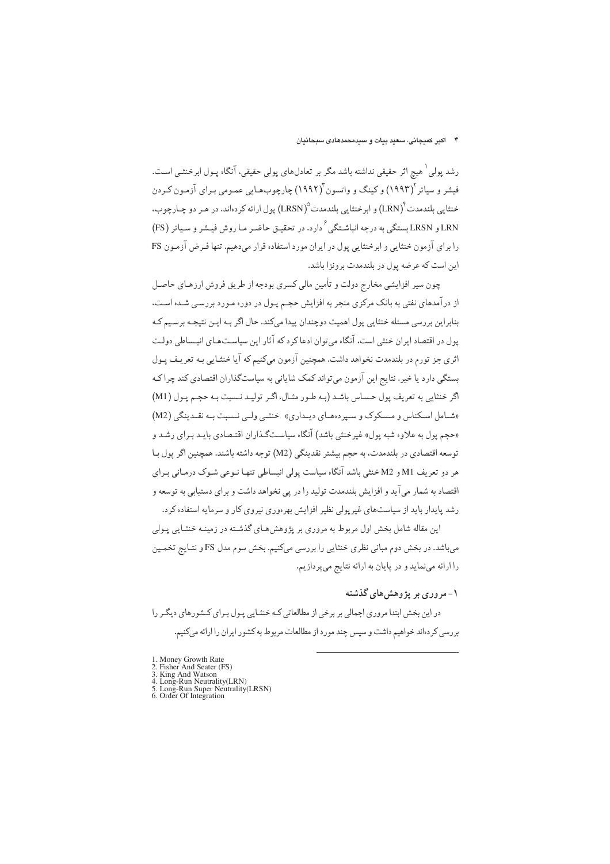#### ۴ - اکبر کمیجانی، سعید بیات و سیدمحمدهادی سبحانیان

رشد پولی <sup>۱</sup> هیچ اثر حقیقی نداشته باشد مگر بر تعادلهای پولی حقیقی، آنگاه پـول ابرخنثـی اسـت. فیشر و سیاتر (۱۹۹۳) و کینگ و واتسون (۱۹۹۲) چارچوبهایی عمـومی بـرای آزمـون کـردن خنثایی بلندمدت (LRN) و ابرخنثایی بلندمدت (LRSN) یول ارائه کر دهاند. در هیر دو چیارچوب، LRSN و LRSN بستگي به درجه انباشـتگي ً دارد. در تحقيـق حاضـر مـا روش فيـشر و سـياتر (FS) را برای آزمون خنثایی و ابرخنثایی پول در ایران مورد استفاده قرار میدهیم. تنها فـرض آزمـون FS این است که عرضه بول در پلندمدت برونزا باشد.

چون سیر افزایشی مخارج دولت و تأمین مالی کسری بودجه از طریق فروش ارزهـای حاصـل از در آمدهای نفتی به بانک مرکزی منجر به افزایش حجـم پـول در دوره مـورد بررسـی شـده اسـت، بنابراین بررسی مسئله خنثایی پول اهمیت دوچندان پیدا میکند. حال اگر بـه ایـن نتیجـه برسـیم کـه یول در اقتصاد ایران خنثی است، آنگاه می توان ادعا کرد که آثار این سیاسـتهـای انبـساطی دولـت اثري جز تورم در بلندمدت نخواهد داشت. همچنين آزمون ميكنيم كه آيا خنثـايي بـه تعريـف پـول بستگی دارد یا خیر. نتایج این آزمون می تواند کمک شایانی به سیاستگذاران اقتصادی کند چرا کـه اگر خنثايي به تعريف پول حساس باشد (به طور مثـال، اگـر توليـد نـسبت بـه حجـم پـول (M1) «شامل اسکناس و مسکوک و سپردههای دیلداری» خنثمی ولمی نسبت به نقـدینگی (M2) «حجم یول به علاوه شبه یول» غیرخنثی باشد) آنگاه سیاستگذاران اقتیصادی باید بیرای رشد و توسعه اقتصادي در بلندمدت، به حجم بيشتر نقدينگي (M2) توجه داشته باشند. همچنين اگر پول بـا هر دو تعریف M1 و M2 خنثی باشد آنگاه سیاست پولی انبساطی تنهـا نـوعی شـوک درمـانی بـرای اقتصاد به شمار میآید و افزایش بلندمدت تولید را در پی نخواهد داشت و برای دستیابی به توسعه و رشد پایدار باید از سیاستهای غیرپولی نظیر افزایش بهرهوری نیروی کار و سرمایه استفاده کرد.

این مقاله شامل بخش اول مربوط به مروری بر پژوهشهای گذشته در زمینـه خنثـایی پـولی میباشد. در بخش دوم مبانی نظری خنثایی را بررسی میکنیم. بخش سوم مدل FS و نتـایج تخمـین را ارائه مینماید و در پایان به ارائه نتایج میپردازیم.

# ۱- مروری بر پژوهش های گذشته

در این بخش ابتدا مروری اجمالی بر برخی از مطالعاتی کـه خنثـایی پـول بـرای کـشورهای دیگـر را بررسی کردهاند خواهیم داشت و سپس چند مورد از مطالعات مربوط به کشور ایران را ارائه میکنیم.

- 1. Money Growth Rate<br>2. Fisher And Seater (FS)
- 
- 2. Fisher And Seater (FS)<br>3. King And Watson<br>4. Long-Run Neutrality(LRN)<br>5. Long-Run Super Neutrality(LRSN)<br>6. Order Of Integration
- 
-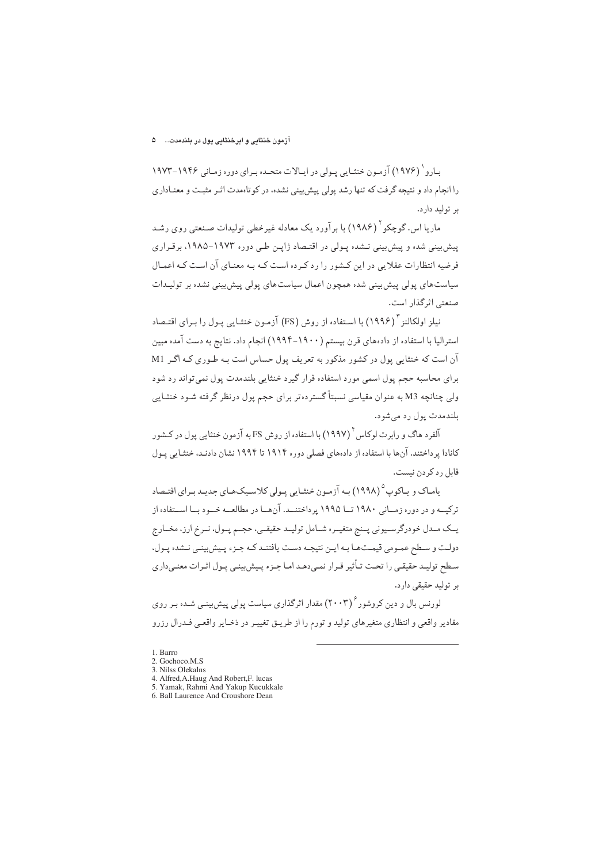#### آزمون خنثایی و ابرخنثایی پول در بلندمدت... ۵

بـارو ( ۱۹۷۶) آزمـون خنثـایی پـولی در ایـالات متحـده بـرای دوره زمـانی ۱۹۴۶-۱۹۷۳ را انجام داد و نتیجه گرفت که تنها رشد پولی پیش بینی نشده، در کوتاهمدت اثر مثبت و معنـاداری بر توليد دارد.

ماریا اس. گوچکو آ (۱۹۸۶) با برآورد یک معادله غیرخطی تولیدات صنعتی روی رشـد پیش بینی شده و پیش بینی نـشده پـولی در اقتـصاد ژاپـن طـی دوره ۱۹۷۳–۱۹۸۵، برقـراری فرضیه انتظارات عقلایی در این کشور را رد که ده است کـه بـه معنـای آن اسـت کـه اعمـال سیاستهای پولی پیش بینی شده همچون اعمال سیاستهای پولی پیش بینی نشده بر تولیـدات صنعتے اثر گذار است.

نیلز اولکالنز <sup>۳</sup> (۱۹۹۶) با استفاده از روش (FS) آزمون *خ*نثـایی پـول را بـرای اقتـصاد استرالیا با استفاده از دادههای قرن بیستم (۱۹۰۰–۱۹۹۴) انجام داد. نتایج به دست آمده مبین آن است که خنثایی پول در کشور مذکور به تعریف پول حساس است بـه طـوري کـه اگـر M1 برای محاسبه حجم پول اسمی مورد استفاده قرار گیرد خنثایی بلندمدت پول نمی تواند رد شود ولی چنانچه M3 به عنوان مقیاسی نسبتاً گسترده تر برای حجم پول درنظر گرفته شـود خنثـایی بلندمدت پول رد می شود.

آلفرد هاگ و رابرت لوکاس <sup>۴</sup> (۱۹۹۷) با استفاده از روش FS به آزمون خنثایی یول در کـشور کانادا پرداختند. آنها با استفاده از دادههای فصلی دوره ۱۹۱۴ تا ۱۹۹۴ نشان دادنـد، خنثـایی پـول قابل ر د کر دن نیست.

یامـاک و یـاکوپ<sup>۵</sup> (۱۹۹۸) بـه آزمـون خنثـایی پـولی کلاسـیکهـای جدیـد بـرای اقتـصاد ترکیــه و در دوره زمــانی ۱۹۸۰ تــا ۱۹۹۵ پرداختنــد. آنهــا در مطالعــه خــود بــا اســتفاده از یــک مــدل خودرگرســیوني پــنج متغیــره شــامل تولیــد حقیقــي، حجــم پــول، نــرخ ارز، مخــارج دولت و سطح عمـومي قيمـتهـا بـه ايـن نتيجـه دسـت يافتنـد كـه جـزء يـيش;ينـي نـشده يـول، سطح توليـد حقيقـي را تحـت تـأثير قـرار نمـي‹هـد امـا جـزء پـيش بينـي پـول اثـرات معنـي‹اري بر توليد حقيقي دارد.

لورنس بال و دین کروشور ۲۰۰۳) مقدار اثرگذاری سیاست پولی پیش بینی شده بـر روی مقادیر واقعی و انتظاری متغیرهای تولید و تورم را از طریـق تغییـر در ذخـایر واقعـی فـدرال رزرو

- 3. Nilss Olekalns
- 4. Alfred, A. Haug And Robert, F. lucas
- 5. Yamak, Rahmi And Yakup Kucukkale
- 6. Ball Laurence And Croushore Dean

<sup>1.</sup> Barro

<sup>2.</sup> Gochoco.M.S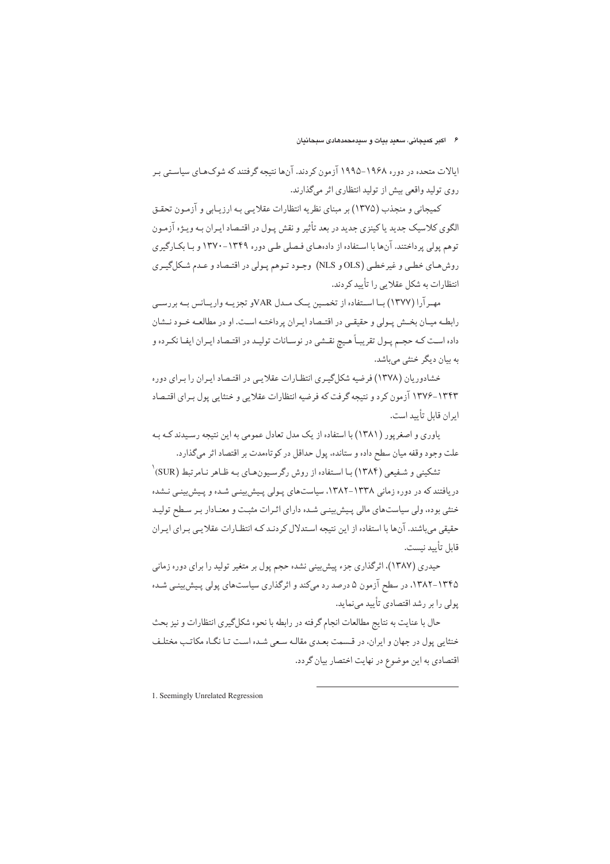ایالات متحده در دوره ۱۹۶۸–۱۹۹۵ آزمون کردند. آنها نتیجه گرفتند که شوکهای سیاستی بر روی تولید واقعی بیش از تولید انتظاری اثر میگذارند.

کمیجانی و منجذب (۱۳۷۵) بر مبنای نظریه انتظارات عقلایی به ارزیـابی و آزمـون تحقـق الگوي كلاسيک جديد يا كينزي جديد در بعد تأثير و نقش پـول در اقتـصاد ايـران بـه ويـژه آزمـون توهم پولی پرداختند. آنها با استفاده از دادههای فصلی طبی دوره ۱۳۴۹-۱۳۷۰ و بـا بکـارگیری روش هبای خطبی و غیرخطبی (OLS و NLS) وجبود تبوهم پیولی در اقتیصاد و عبدم شکل گییری انتظارات به شکل عقلایی را تأیید کردند.

مهـ آرا (۱۳۷۷) بـا اسـتفاده از تخمــين يــک مــدل VARو تجزيــه واريــانس بــه بررســي رابطـه ميـان بخـش پـولې و حقيقـې در اقتـصاد ايـران پر داختـه اسـت. او در مطالعـه خـود نــشان داده است كـه حجـم پـول تقريبـاً هـيج نقـشي در نوسـانات توليـد در اقتـصاد ايـران ايفـا نكـرده و به بیان دیگر خنثی میباشد.

خشادوریان (۱۳۷۸) فرضیه شکلگیری انتظارات عقلایی در اقتصاد ایران را برای دوره ۱۳۴۳-۱۳۷۶ آزمون کرد و نتیجه گرفت که فرضیه انتظارات عقلایی و خنثایی پول برای اقتصاد ابران قابل تأسد است.

یاوری و اصغر یور (۱۳۸۱) با استفاده از یک مدل تعادل عمومی به این نتیجه رسیدند کیه بیه علت وجود وقفه میان سطح داده و ستانده، پول حداقل در کوتاهمدت بر اقتصاد اثر میگذارد.

تشکینی و شفیعی (۱۳۸۴) با استفاده از روش رگرسیونهای به ظاهر نامرتبط (SUR) دریافتند که در دوره زمانی ۱۳۳۸-۱۳۸۲، سیاستهای پـولی پـیش،پینـی شـده و پـیش،پینـی نـشده خنثی بوده، ولی سیاستهای مالی پیش بینی شده دارای اثرات مثبت و معنادار بر سطح تولید حقیقی میباشند. آنها با استفاده از این نتیجه استدلال کردنـد کـه انتظـارات عقلایـی بـرای ایـران قابل تأييد نيست.

حیدری (۱۳۸۷)، اثرگذاری جزء پیش بینی نشده حجم پول بر متغیر تولید را برای دوره زمانی ۱۳۴۵–۱۳۸۲، در سطح آزمون ۵ درصد رد میکند و اثرگذاری سیاستهای پولی پیش بینی شده یولی را بر رشد اقتصادی تأیید می نماید.

حال با عنايت به نتايج مطالعات انجام گرفته در رابطه با نحوه شكلگيري انتظارات و نيز بحث خنثایی پول در جهان و ایران، در قـسمت بعـدی مقالـه سـعی شـده اسـت تـا نگـاه مکاتـب مختلـف اقتصادي به اين موضوع در نهايت اختصار بيان گردد.

1. Seemingly Unrelated Regression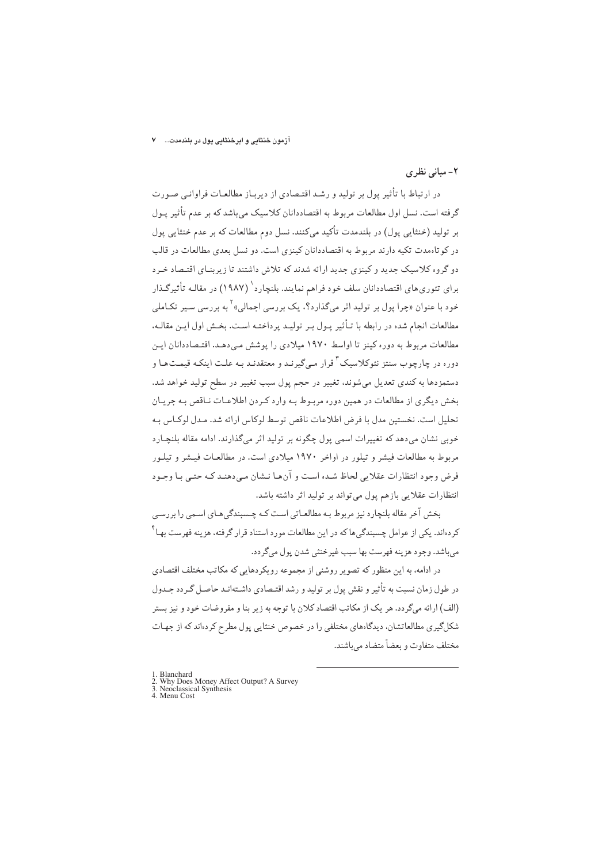#### آزمون خنثایی و ابرخنثایی پول در بلندمدت... ۷

## ۲- مبانی نظری

در ارتباط با تأثیر پول بر تولید و رشـد اقتـصادی از دیربـاز مطالعـات فراوانـی صـورت گرفته است. نسل اول مطالعات مربوط به اقتصاددانان کلاسیک میباشد که بر عدم تأثیر پـول پر تولید (خنثایی یول) در پلندمدت تأکید میکنند. نسل دوم مطالعات که بر عدم خنثایی یول در کو تاهمدت تکیه دارند مربوط به اقتصاددانان کینزی است. دو نسل بعدی مطالعات در قالب دو گروه کلاسیک جدید و کینزی جدید ارائه شدند که تلاش داشتند تا زیربنـای اقتـصاد خـرد برای تئوری های اقتصاددانان سلف خود فراهم نمایند. بلنچار د<sup>(</sup> (۱۹۸۷) در مقالـه تأثیرگـذار خود با عنوان «چرا پول بر تولید اثر میگذارد؟، یک بررسی اجمالی» ٰ به بررسی سـیر تکـاملی مطالعات انجام شده در رابطه با تـأثير يـول بـر توليـد يرداختـه اسـت. بخـش اول ايـن مقالـه، مطالعات مربوط به دوره کینز تا اواسط ۱۹۷۰ میلادی را پوشش مے،دهـد. اقتـصاددانان ایـن دوره در چارچوب سنتز نئوکلاسیک<sup>۳</sup> قرار مـی¢یرنـد و معتقدنـد بـه علـت اینکـه قیمـتهـا و دستمزدها به کندی تعدیل می شوند، تغییر در حجم یول سبب تغییر در سطح تولید خواهد شد. بخش دیگری از مطالعات در همین دوره مربوط به وارد کردن اطلاعـات نـاقص بـه جريـان تحلیل است. نخستین مدل با فرض اطلاعات ناقص توسط لوکاس ارائه شد. مـدل لوکـاس بـه خوبي نشان مي دهد كه تغييرات اسمي يول چگونه بر توليد اثر ميگذارند. ادامه مقاله بلنچـارد مربوط به مطالعات فیشر و تبلور در اواخر ۱۹۷۰ میلادی است. در مطالعیات فییشر و تبلیور فرض وجود انتظارات عقلايي لحاظ شده است و آن هـا نـشان مـىدهنـد كـه حتـى بـا وجـود انتظارات عقلایی بازهم یول می تواند بر تولید اثر داشته باشد.

بخش آخر مقاله بلنچارد نیز مربوط بـه مطالعـاتی اسـت کـه چـسبندگی،هـای اسـمی را بررسـی کردهاند. یکی از عوامل چسبندگیها که در این مطالعات مورد استناد قرار گرفته، هزینه فهرست بهـا<sup>۲</sup> مي باشد. وجود هزينه فهرست بها سبب غير خنثي شدن يول مي گردد.

در ادامه، به این منظور که تصویر روشنی از مجموعه رویکردهایی که مکاتب مختلف اقتصادی در طول زمان نسبت به تأثير و نقش يول بر توليد و رشد اقتـصادي داشـتهانـد حاصـل گـردد جـدول (الف) ارائه میگردد. هر یک از مکاتب اقتصاد کلان با توجه به زیر بنا و مفروضات خود و نیز بستر شکلگیری مطالعاتشان، دیدگاههای مختلفی را در خصوص خنثایی پول مطرح کردهاند که از جهـات مختلف متفاوت و بعضاً متضاد مىباشند.

- 1. Blanchard
- A. Dialiculatu<br>2. Why Does Money Affect Output? A Survey<br>3. Neoclassical Synthesis<br>4. Menu Cost
-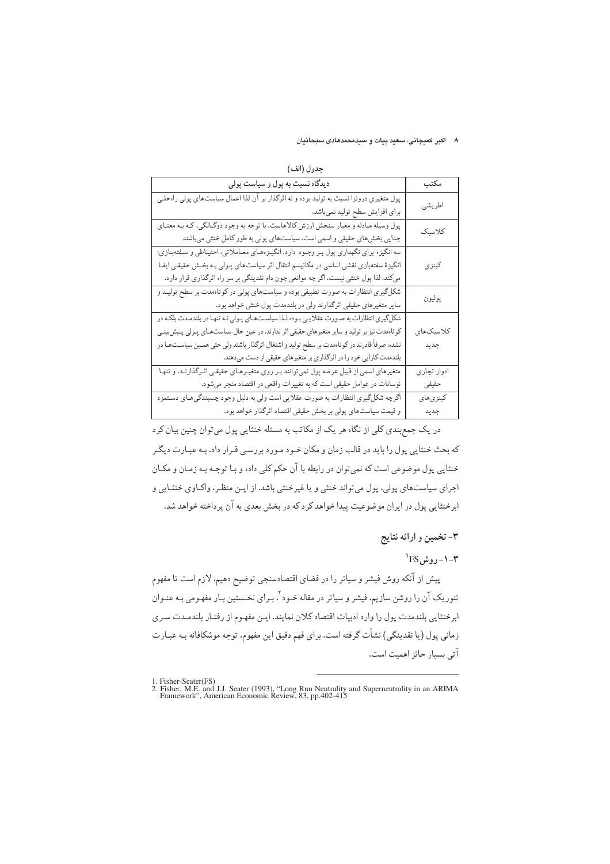#### ۸ اکبر کمیجانی، سعید بیات و سیدمحمدهادی سبحانیان

| (الف | τJ |  |
|------|----|--|
|      |    |  |

| دیدگاه نسبت به پول و سیاست پولی                                                               | مكتب        |
|-----------------------------------------------------------------------------------------------|-------------|
| پول متغیری درونزا نسبت به تولید بوده و نه اثرگذار بر آن لذا اعمال سیاستهای پولی راهحلـی       | اطريشي      |
| براي افزايش سطح توليد نميباشد.                                                                |             |
| پول وسیله مبادله و معیار سنجش ارزش کالاهاست. با توجه به وجود دوگـانگی، کـه بـه معنـای         | كلاسيك      |
| جدایی بخشهای حقیقی و اسمی است، سیاستهای پولی به طور کامل خنثی میباشند                         |             |
| سه انگیزه برای نگهداری پول بر وجـود دارد. انگیـزههـای معـاملاتی، احتیـاطی و سـفتهبـازی؛       |             |
| انگیزهٔ سفتهبازی نقشی اساسی در مکانیسم انتقال اثر سیاستهای پـولی بـه بخـش حقیقـی ایفـا        | كينزى       |
| میکند. لذا پول خنثی نیست، اگر چه موانعی چون دام نقدینگی بر سر راه اثرگذاری قرار دارد.         |             |
| شکلگیری انتظارات به صورت تطبیقی بوده و سیاستهای پولی در کوتاهمدت بر سطح تولیـد و              | پوليون      |
| سایر متغیرهای حقیقی اثرگذارند ولی در بلندمدت پول خنثی خواهد بود.                              |             |
| شکلگیری انتظارات به صورت عقلایی بوده لذا سیاستهای پولی نه تنها در بلندمدت بلکه در             |             |
| کوتاهمدت نیز بر تولید و سایر متغیرهای حقیقی اثر ندارند. در عین حال سیاستهای پـولی پـیش,بینـی  | کلاسیکھای   |
| نشده، صرفاً قادرند در کوتاهمدت بر سطح تولید و اشتغال اثرگذار باشند ولی حتی همـین سیاسـتهـا در | جديد        |
| بلندمدت کارایی خود را در اثرگذاری بر متغیرهای حقیقی از دست میدهند.                            |             |
| متغیرهای اسمی از قبیل عرضه پول نمیتوانند بـر روی متغیـرهـای حقیقـی اثـرگذارنـد، و تنهـا       | ادوار تجارى |
| نوسانات در عوامل حقیقی است که به تغییرات واقعی در اقتصاد منجر میشود.                          | حقيقى       |
| اگرچه شکلگیری انتظارات به صورت عقلایی است ولی به دلیل وجود چسبندگیهای دستمزد                  | كينزي هاي   |
| و قیمت سیاستهای پولی بر بخش حقیقی اقتصاد اثرگذار خواهد بود.                                   | جديد        |

در یک جمع بندی کلی از نگاه هر یک از مکاتب به مسئله خنثایی پول می توان چنین بیان کرد که بحث خنثایی پول را باید در قالب زمان و مکان خـود مـورد بررسـی قـرار داد. بـه عبـارت دیگـر خنثايي يول موضوعي است كه نمي توان در رابطه با آن حكم كلي داده و بـا توجـه بـه زمـان و مكـان اجرای سیاستهای پولی، پول میتواند خنثی و یا غیرخنثی باشد. از ایـن منظـر، واکـاوی خنثـایی و ابرخنثایی پول در ایران موضوعیت پیدا خواهد کرد که در بخش بعدی به آن پرداخته خواهد شد.

# ۳- تخمین و ارائه نتایج

 $\text{``FS}$ روش $\text{--}$ 

پیش از آنکه روش فیشر و سیاتر را در فضای اقتصادسنجی توضیح دهیم، لازم است تا مفهوم تئوریک آن را روشن سازیم. فیشر و سیاتر در مقاله خـود <sup>۲</sup>، بـرای نخـستین بـار مفهـومی بـه عنـوان ابرخنثايي بلندمدت پول را وارد ادبيات اقتصاد كلان نمايند. ايـن مفهـوم از رفتـار بلندمـدت سـرى زماني يول (يا نقدينگي) نشأت گرفته است. براي فهم دقيق اين مفهوم، توجه موشكافانه بـه عبـارت آتي بسيار حائز اهميت است.

<sup>1.</sup> Fisher-Seater(FS)<br>2. Fisher, M.E. and J.J. Seater (1993), "Long Run Neutrality and Superneutrality in an ARIMA<br>5. Framework", American Economic Review, 83, pp.402-415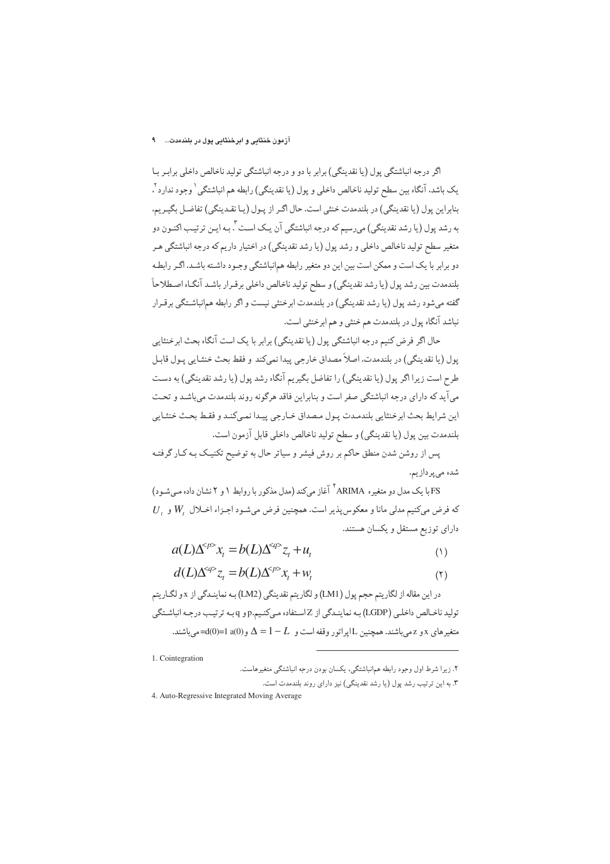#### آزمون خنثایی و ابرخنثایی پول در بلندمدت....... ۹

اگر درجه انباشتگی یول (یا نقدینگی) برابر با دو و درجه انباشتگی تولید ناخالص داخلی برابـر بـا يک باشد، آنگاه بين سطح توليد ناخالص داخلي و پول (يا نقدينگي) رابطه هم انباشتگي (وجود ندارد ً، بنابراين يول (يا نقدينگي) در بلندمدت خنثي است. حال اگـر از يـول (يـا نقـدينگي) تفاضـل بگيـريم، به رشد پول (یا رشد نقدینگی) می٫سیم که درجه انباشتگی آن یـک اسـت ". بـه ایـن ترتیـب اکنـون دو متغیر سطح تولید ناخالص داخلی و رشد پول (یا رشد نقدینگی) در اختیار داریم که درجه انباشتگی هـر دو برابر با یک است و ممکن است بین این دو متغیر رابطه همانباشتگی وجـود داشـته باشـد. اگـر رابطـه بلندمدت بين رشد يول (يا رشد نقدينگي) و سطح توليد ناخالص داخلي برقـرار باشـد آنگـاه اصـطلاحاً گفته می شود رشد یول (یا رشد نقدینگی) در بلندمدت ابرخنثی نیست و اگر رابطه همانباشـتگی بر قـرار نباشد آنگاه پول در بلندمدت هم خنثي و هم ابرخنثي است.

حال اگر فرض کنیم درجه انباشتگی پول (یا نقدینگی) برابر با یک است آنگاه بحث ابرخنثایی پول (يا نقدينگي) در بلندمدت، اصلاً مصداق خارجي پيدا نميكند و فقط بحث خنثـايي پـول قابـل طرح است زیرا اگر پول (یا نقدینگی) را تفاضل بگیریم آنگاه رشد پول (یا رشد نقدینگی) به دست می آید که دارای درجه انباشتگی صفر است و بنابراین فاقد هرگونه روند بلندمدت میباشـد و تحت اين شرايط بحث ابرخنثايي بلندمدت پـول مـصداق خـارجي پيـدا نمـىكنـد و فقـط بحـث خنثـايي بلندمدت بين يول (يا نقدينگي) و سطح توليد ناخالص داخلي قابل آزمون است.

پس از روشن شدن منطق حاکم بر روش فیشر و سیاتر حال به توضیح تکنیک بـه کـار گرفتـه شده مي پردازيم.

FS با یک مدل دو متغیره ARIMA <sup>۴</sup> آغاز میکند (مدل مذکور با روابط ۱ و ۲ نشان داده مـیشـود)  $U$ , که فرض میکنیم مدلی مانا و معکوس پذیر است. همچنین فرض می شـود اجـزاء اخـلال  $W$  و دارای توزیع مستقل و یکسان هستند.

$$
a(L)\Delta^{}x_t = b(L)\Delta^{}z_t + u_t
$$
 (1)

$$
d(L)\Delta^{op} z_t = b(L)\Delta^{op} x_t + w_t \tag{1}
$$

در اين مقاله از لگاريتم حجم پول (LM1) و لگاريتم نقدينگي (LM2) بـه نماينـدگي از x و لگـاريتم توليد ناخـالص داخلـي (LGDP) بـه نماينـدگي از Zاسـتفاده مـيكنـيم.pو q بـه ترتيـب درجـه انباشـتگي متغیرهای x و z میباشند. همچنین Lاپراتور وقفه است و  $L = 1 - 1 = \Delta$  و d(0)=1 a(0)=2=میباشند.

1. Cointegration

۲. زیرا شرط اول وجود رابطه همانباشتگی، یکسان بودن درجه انباشتگی متغیرهاست.

۳. به این ترتیب رشد یول (یا رشد نقدینگی) نیز دارای روند بلندمدت است.

<sup>4.</sup> Auto-Regressive Integrated Moving Average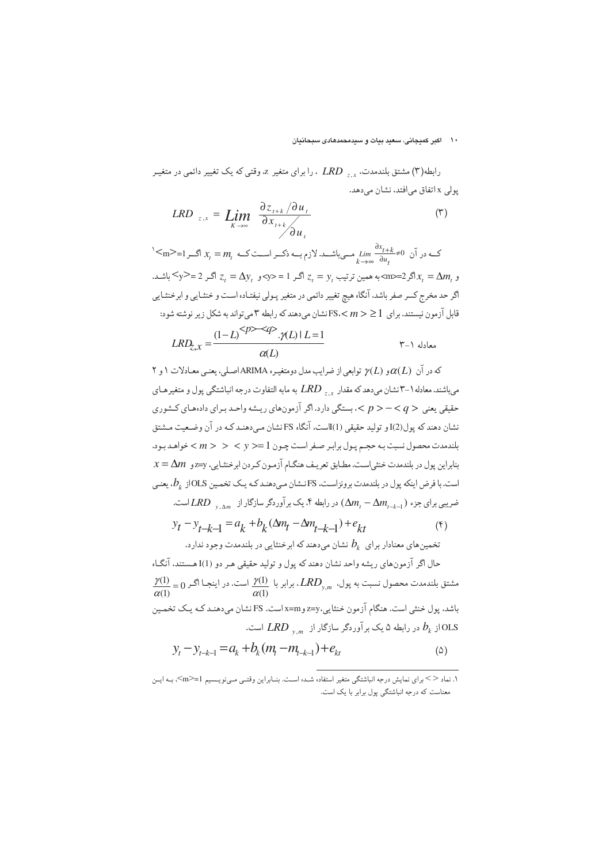#### ۱۰ اکبر کمیجانی، سعید بیات و سیدمحمدهادی سبحانیان

رابطه(۳) مشتق بلندمدت، په های LRD ، را برای متغیر z، وقتی که یک تغییر دائمی در متغیـر پولی x اتفاق می افتد، نشان می دهد.

$$
LRD_{z,x} = \lim_{K \to \infty} \frac{\partial z_{t+k}}{\partial x_{t+k}} / \frac{\partial u_t}{\partial u_t}
$$
 (5)

 $\le$ ک در آن  $\lim_{t\to\infty} \frac{\partial x_{t+k}}{\partial u}$  مــیباشـــد. لازم بـــه ذکــر اســـت کـــه  $\lim_{t\to\infty} \frac{\partial x_{t+k}}{\partial u}$  اگــر  $\leq$ . اشـد.  $x_t = \Delta m_t$ اگر $z = \Delta m$ >به همین ترتیب  $y_t = y_t = z$ اگر  $z_t = \Delta y$ اگر 2 $x_t = \Delta m_t = x$ اشـد. اگر حد مخرج کسر صفر باشد، آنگاه هیچ تغییر دائمی در متغیر پـولی نیفتـاده اسـت و خنثـایی و ابرخنثـایی قابل آزمون نیستند. برای  $1 \geq r < \text{FS}$ نشان میدهند که رابطه ۳ میتواند به شکل زیر نوشته شود:

$$
LRD_{z,x} = \frac{(1-L)^{2p-xq} \mathcal{A}(L) | L=1}{\alpha(L)}
$$

که در آن  $\alpha(L)$ و (ع) توابعي از ضرايب مدل دومتغيـره ARIMAاصـلي، يعنـي معـادلات ١ و ٢ می باشند. معادله ۱–۳ نشان می دهد که مقدار پر پر  $LD$  به مابه التفاوت درجه انباشتگی پول و متغیرهـای حقیقی یعنی < p> < q> >. بستگی دارد. اگر آزمونهای ریشه واحـد بـرای دادههای کـشوری نشان دهند که پول(2)I و تولید حقیقی (1)Iاست، آنگاه FS نشان میدهنـد کـه در آن وضـعیت مـشتق بلندمدت محصول نسبت به حجم يول برابر صفر است چـون 1 =< y > < y + خواهـد بـود.  $x$  بنابراین پول در بلندمدت خنثی|ست. مطابق تعریف هنگام آزمون کردن ابرخنثایی، yz=y و  $z$ است. با فرض اینکه پول در بلندمدت برونزاست، FS نشان می دهنـد کـه یـک تخمـین OLSاز  $b_k$ ، یعنـی ضریبی برای جزء ( $\Delta m, -\Delta m, -\Delta m$ ) در رابطه ۴. یک برآوردگر سازگار از سمس LRD است.

$$
y_t - y_{t-k-1} = a_k + b_k (\Delta m_t - \Delta m_{t-k-1}) + e_{kt}
$$
\n
$$
b_{t-1} = b_{t-1} + b_{t-1} + b_{t-1} + \Delta m_{t-k-1} + \Delta m_{t-k-1} + \Delta m_{t-k-1} + \Delta m_{t-k-1} + \Delta m_{t-k-1} + \Delta m_{t-k-1} + \Delta m_{t-k-1} + \Delta m_{t-k-1} + \Delta m_{t-k-1} + \Delta m_{t-k-1} + \Delta m_{t-k-1} + \Delta m_{t-k-1} + \Delta m_{t-k-1} + \Delta m_{t-k-1} + \Delta m_{t-k-1} + \Delta m_{t-k-1} + \Delta m_{t-k-1} + \Delta m_{t-k-1} + \Delta m_{t-k-1} + \Delta m_{t-k-1} + \Delta m_{t-k-1} + \Delta m_{t-k-1} + \Delta m_{t-k-1} + \Delta m_{t-k-1} + \Delta m_{t-k-1} + \Delta m_{t-k-1} + \Delta m_{t-k-1} + \Delta m_{t-k-1} + \Delta m_{t-k-1} + \Delta m_{t-k-1} + \Delta m_{t-k-1} + \Delta m_{t-k-1} + \Delta m_{t-k-1} + \Delta m_{t-k-1} + \Delta m_{t-k-1} + \Delta m_{t-k-1} + \Delta m_{t-k-1} + \Delta m_{t-k-1} + \Delta m_{t-k-1} + \Delta m_{t-k-1} + \Delta m_{t-k-1} + \Delta m_{t-k-1} + \Delta m_{t-k-1} + \Delta m_{t-k-1} + \Delta m_{t-k-1} + \Delta m_{t-k-1} + \Delta m_{t-k-1} + \Delta m_{t-k-1} + \Delta m_{t-k-1} + \Delta m_{t-k-1} + \Delta m_{t-k-1} + \Delta m_{t-k-1} + \Delta m_{t-k-1} + \Delta m_{t-k-1} + \Delta m_{t-k-1} + \Delta m_{t-k-1} + \Delta m_{t-k-1} + \Delta m_{t-k-1} + \Delta m_{t-k-1} + \Delta m_{t-k-1} + \Delta m_{t-k-1} + \Delta m_{t-k-1} + \Delta m_{t-k-1} + \Delta m_{t-k-1} + \Delta m_{t-k-1} + \Delta m_{t-k-1} + \Delta m_{t-k-1} + \Delta m_{t-k-1} + \Delta m_{t-k-
$$

حال اگر آزمونهاي ريشه واحد نشان دهند كه يول و توليد حقيقي هـر دو I(1) هـستند، آنگـاه  $\frac{\gamma(1)}{\alpha(1)} = 0$  مشتق بلندمدت محصول نسبت به پول،  $LRD_{y,m}$  . برابر با  $\frac{\gamma(1)}{\alpha(1)}$  است. در اینجـا اگـر باشد. پول خنثی است. هنگام آزمون خنثایی،z=yوm است. FS نشان میدهنـد کـه یـک تخمـین از  $b_k$  در رابطه ۵ یک برآوردگر سازگار از  $\mathit{LRD}_{v,m}$  است.

$$
y_t - y_{t-k-1} = a_k + b_k (m_t - m_{t-k-1}) + e_{kt}
$$
 (2)

۱. نماد <> برای نمایش درجه انباشتگی متغیر استفاده شـده اسـت. بنــابراین وقتــی مــینویــسیم m>=1<m> بــه ایــن معناست که درجه انباشتگی پول برابر با یک است.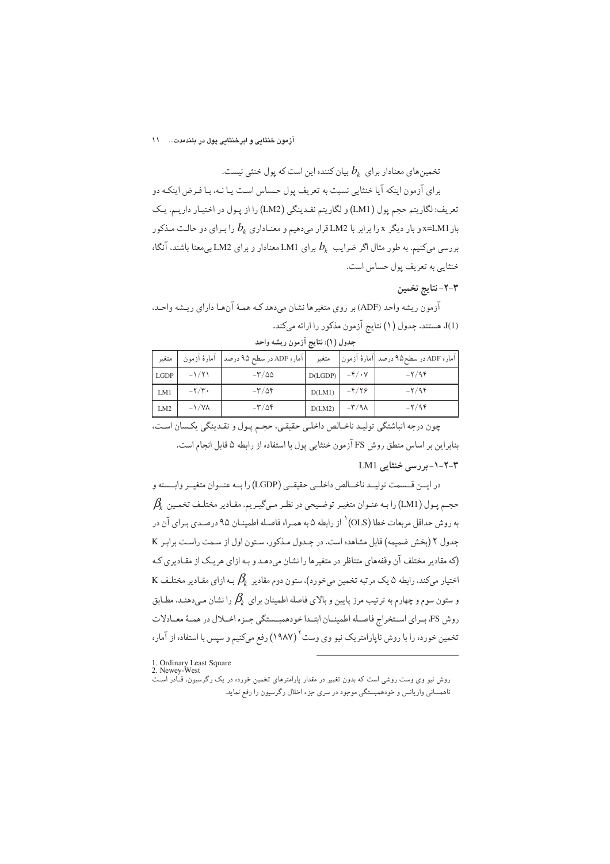#### آزمون خنثایی و ابرخنثایی پول در بلندمدت... ۱۱

تخمینهای معنادار برای  $b_{k}$  بیان کننده این است که پول خنثی نیست.

برای آزمون اینکه آیا خنثایی نسبت به تعریف پول حساس است یـا نـه، بـا فـرض اینکـه دو تعريف: لگاريتم حجم يول (LM1) و لگاريتم نقدينگي (LM2) را از پـول در اختيـار داريـم، يـک بار x=LM1 و بار دیگر x را برابر با LM2 قرار میدهیم و معنـاداری  $b_{k}$  را بـرای دو حالـت مـذکور بررسی میکنیم. به طور مثال اگر ضرایب  $b_{k}$  برای LM1 معنادار و برای LM2 بی معنا باشند، آنگاه خنثايي به تعريف يول حساس است.

# ٣-٢-نتايج تخمين

آزمون ريشه واحد (ADF) بر روى متغيرها نشان مى دهد كـه همـهٔ آنهـا داراي ريـشه واحـد. (I)]، هستند. جدول (١) نتايج آزمون مذكور را ارائه مى كند.

| متغير       | آمارهٔ آزمون                | آماره ADF در سطح ۹۵ درصد           | متغير   |                          | آماره ADF در سطح۹۵ درصد  آمارهٔ آزمون |
|-------------|-----------------------------|------------------------------------|---------|--------------------------|---------------------------------------|
| <b>LGDP</b> | $-1/71$                     | $-\mathsf{r}/\mathsf{d}\mathsf{d}$ | D(LGDP) | $-\frac{\rho}{2}$ + Y    | $-Y/9f$                               |
| LM1         | $-\mathbf{Y}/\mathbf{Y}$    | $-\mathbf{r}/\Delta\mathbf{f}$     | D(LM1)  | $-\frac{\rho}{\sqrt{2}}$ | $-\mathbf{Y}/\mathbf{9}\mathbf{F}$    |
| LM2         | $-\frac{1}{\sqrt{\lambda}}$ | $-\mathbf{r}/\Delta\mathbf{f}$     | D(LM2)  | $-\mathsf{r}/\mathsf{A}$ | $-7/96$                               |

جدول (١): نتايج آزمون ريشه واحد

چون درجه انباشتگی تولیـد ناخـالص داخلـی حقیقـی، حجـم پـول و نقـدینگی یکـسان اسـت، بنابراین بر اساس منطق روش FS آزمون خنثایی پول با استفاده از رابطه ۵ قابل انجام است.

# ۲-۲-۱-بررسی خنثایی LM1

در ايـن قـسمت توليـد ناخـالص داخلـي حقيقـي (LGDP) رابـه عنـوان متغيـر وابـسته و  $\beta_k$  حجـم یـول (LM1) را بـه عنـوان متغیـر توضـیحی در نظـر مـیگیـریم. مقـادیر مختلـف تخمـین به دوش حداقل مربعات خطا (OLS) <sup>۱</sup> از دایطه ۵ به همیراه فاصله اطمینیان ۹۵ درصیدی بیرای آن در جدول ٢ (بخش ضميمه) قابل مشاهده است. در جـدول مـذكور، سـتون اول از سـمت راسـت برابـر K (که مقادیر مختلف آن وقفههای متناظر در متغیرها را نشان می دهـد و بـه ازای هر یـک از مقـادیری کـه K اختیار میکند، رابطه ۵ یک مرتبه تخمین می خورد)، ستون دوم مقادیر  $\beta_k$  بـه ازای مقـادیر مختلـف و ستون سوم و چهارم به ترتیب مرز پایین و بالای فاصله اطمینان برای  $\beta_k$  را نشان مـیدهنـد. مطـابق روش FS براي استخراج فاصـله اطمينـان ابتـدا خودهمبـستگي جـزء اخـلال در همـهٔ معـادلات تخمین خورده را با روش ناپارامتریک نیو وی وست<sup>۲</sup> (۱۹۸۷) رفع میکنیم و سپس با استفاده از آماره

1. Ordinary Least Square<br>2. Newey-West

روش نیو وی وست روشی است که بدون تغییر در مقدار پارامترهای تخمین خورده در یک رگرسیون، قـّادر اسـت ناهمسانی واریانس و خودهمبستگی موجود در سری جزء اخلال رگرسیون را رفع نماید.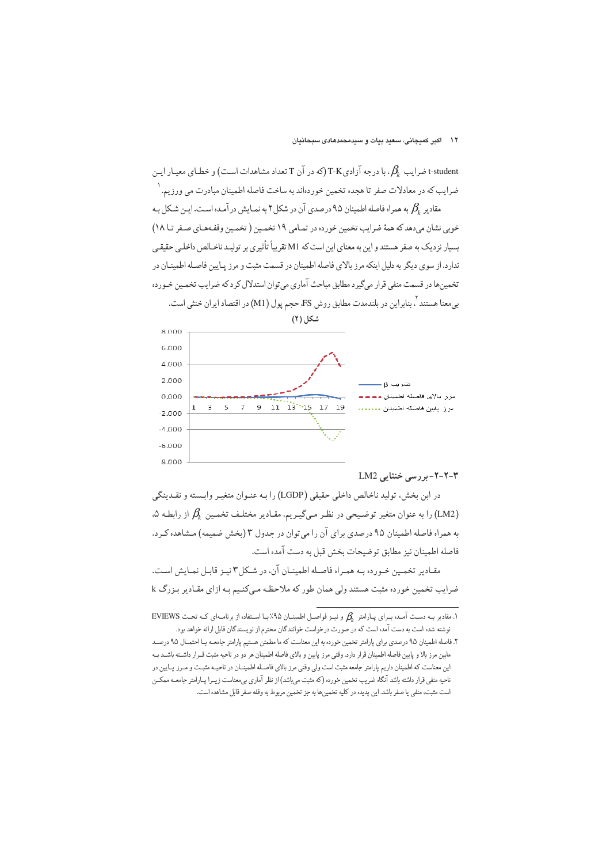ن درجه آزادی $\mathcal{B}_k$  درجه آزادی (بی در آن T تعداد مشاهدات است) و خطای معیـار ایـن (بی T-K ضرایب که در معادلات صفر تا هجده تخمین خوردهاند به ساخت فاصله اطمینان مبادرت می ورزیم. ١

مقادیر  $\beta_\iota$  به همراه فاصله اطمینان ۹۵ درصدی آن در شکل ۲ به نمیایش در آمیده است. این شیکل بیه خوبي نشان مي دهد كه همهٔ ضرايب تخمين خورده در تمـامي ١٩ تخمـين ( تخمـين وقفـهـاي صـفر تـا ١٨) بسیار نزدیک به صفر هستند و این به معنای این است که M1 تقریباً تأثیری بر تولیـد ناخـالص داخلـی حقیقـی ندار د. از سوی دیگر به دلیل اینکه مرز بالای فاصله اطمینان در قسمت مثبت و مرز پیایین فاصیله اطمینیان در تخمینها در قسمت منفی قرار میگیرد مطابق مباحث آماری می توان استدلال کرد که ضرایب تخمین خـورده بی.معنا هستند <sup>۲</sup>. بنابراین در بلندمدت مطابق روش FS حجم پول (M1) در اقتصاد ایران خنثی است.



#### ۲-۲-۲- بر رسی خنثایی LM2

در ابن بخش، توليد ناخالص داخلي حقيقي (LGDP) را بـه عنـوان متغيـر وابـسته و نقـدينگي ،۵ (LM2) را به عنوان متغیر توضیحی در نظر میگیریم. مقادیر مختلف تخمین  $\beta_k$  از رابطه  $\mu$ به همراه فاصله اطمینان ۹۵ درصدی برای آن را می توان در جدول ۳ (بخش ضمیمه) مشاهده کـرد. فاصله اطمينان نيز مطابق توضيحات بخش قبل به دست آمده است.

مقـادير تخمـين خـورده بـه همـراه فاصـله اطمينـان آن، در شـكل٣ نيـز قابـل نمـايش اسـت. ضرایب تخمین خورده مثبت هستند ولی همان طور که ملاحظه مبیکنیم بـه ازای مقـادیر بـزرگ k

<sup>1.</sup> مقادیر بـه دسـت آمـده بـرای پـارامتر  $\beta_k$  و نیـز فواصـل اطمینـان ۹۵٪ بـا اسـتفاده از برنامـهای کـه تحـت EVIEWS نوشته شده است به دست آمده است كه در صورت درخواست خوانندگان محترم از نويسندگان قابل ارائه خواهد بود.

۲. فاصله اطمینان ۹۵ درصدی برای پارامتر تخمین خورده به این معناست که ما مطمئن هستیم پارامتر جامعـه بـا احتمـال ۹۵ درصـد مابین مرز بالا و پایین فاصله اطمینان قرار دارد. وقتی مرز پایین و بالای فاصله اطمینان هر دو در ناحیه مثبت قـرار داشـته باشـد بـه این معناست که اطمینان داریم پارامتر جامعه مثبت است ولی وقتی مرز بالای فاصـله اطمینــان در ناحیــه مثبـت و مـرز پـایین در ناحیه منفی قرار داشته باشد آنگاه ضریب تخمین خورده (که مثبت میباشد) از نظر آماری بیمعناست زیـرا پـارامتر جامعـه ممکــن است مثبت، منفي يا صفر باشد. اين يديده در كليه تخمينها به جز تخمين مربوط به وقفه صفر قابل مشاهده است.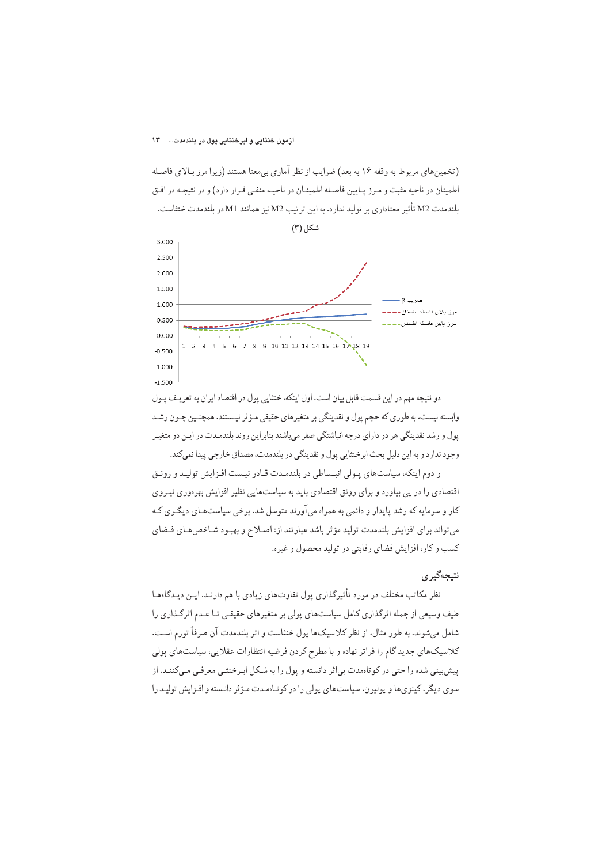(تخمین های مربوط به وقفه ۱۶ به بعد) ضرایب از نظر آماری بی معنا هستند (زیرا مرز بـالای فاصـله اطمینان در ناحیه مثبت و مـرز پـایین فاصـله اطمینـان در ناحیـه منفـی قـرار دارد) و در نتیجـه در افـق بلندمدت M2 تأثير معناداري بر توليد ندارد. به اين ترتيب M2 نيز همانند M1 در بلندمدت خنثاست.



دو نتيجه مهم در اين قسمت قابل بيان است. اول اينكه، خنثايي پول در اقتصاد ايران به تعريـف پـول وابسته نیست، به طوری که حجم پول و نقدینگی بر متغیرهای حقیقی مـؤثر نیـستند. همچنـین چـون رشـد پول و رشد نقدینگی هر دو دارای درجه انباشتگی صفر میباشند بنابراین روند بلندمـدت در ایـن دو متغیـر وجود ندارد و به این دلیل بحث ابرخنثایی پول و نقدینگی در بلندمدت، مصداق خارجی پیدا نمی کند.

و دوم اینکه، سیاستهای پولی انبساطی در بلندمدت قـادر نیـست افـزایش تولیـد و رونـق اقتصادی را در یی بیاورد و برای رونق اقتصادی باید به سیاستهایی نظیر افزایش بهرهوری نیـروی کار و سرمایه که رشد پایدار و دائمی به همراه میآورند متوسل شد. برخی سیاستهـای دیگـری کـه می تواند برای افزایش بلندمدت تولید مؤثر باشد عبارتند از: اصلاح و بهبود شاخص های فضای کسب و کار، افزایش فضای رقابتی در تولید محصول و غیره.

## نتيجەگيرى

نظر مکاتب مختلف در مورد تأثیرگذاری پول تفاوتهای زیادی با هم دارنـد. ایـن دیـدگاههـا طیف وسیعی از جمله اثرگذاری کامل سیاستهای پولی بر متغیرهای حقیقبی تـا عـدم اثرگـذاری را شامل می شوند. به طور مثال، از نظر کلاسیکها پول خنثاست و اثر بلندمدت آن صرفاً تورم است. کلاسیکهای جدید گام را فراتر نهاده و با مطرح کردن فرضیه انتظارات عقلایی، سیاستهای پولی پیش بینی شده را حتی در کو تاهمدت بی اثر دانسته و پول را به شکل اب خنثبی معرفبی مبیکننید. از سوي ديگر، كينزي ها و پوليون، سياست هاي پولي را در كوتاهمدت مؤثر دانسته و افزايش توليد را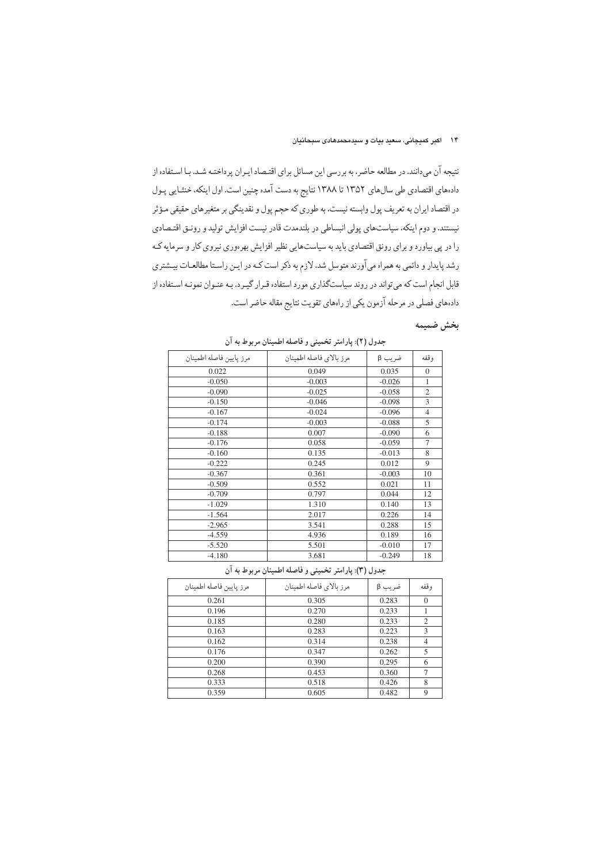نتیجه آن میدانند. در مطالعه حاضر، به بررسی این مسائل برای اقتـصاد ایـران پرداختـه شـد. بـا اسـتفاده از دادههای اقتصادی طی سالهای ۱۳۵۲ تا ۱۳۸۸ نتایج به دست آمده چنین است. اول اینکه، خنثـایی پـول در اقتصاد ایران به تعریف پول وابسته نیست، به طوری که حجم پول و نقدینگی بر متغیرهای حقیقی مـؤثر نیستند. و دوم اینکه، سیاستهای پولی انبساطی در بلندمدت قادر نیست افزایش تولید و رونتی اقتصادی را در پی بیاورد و برای رونق اقتصادی باید به سیاستهایی نظیر افزایش بهرهوری نیروی کار و سرمایه کـه رشد پایدار و دائمی به همراه میآورند متوسل شد. لازم به ذکر است کـه در ایـن راسـتا مطالعـات بیـشتری قابل انجام است که میتواند در روند سیاستگذاری مورد استفاده قـرار گیـرد. بـه عنـوان نمونـه اسـتفاده از دادههای فصلی در مرحله آزمون یکی از راههای تقویت نتایج مقاله حاضر است.

# بخش ضميمه

| جدول (٢): پارامتر تخميني و فاصله اطمينان مربوط به آن |                         |          |                |
|------------------------------------------------------|-------------------------|----------|----------------|
| مرز پايين فاصله اطمينان                              | مرز بالاي فاصله اطمينان | ضريب β   | وقفه           |
| 0.022                                                | 0.049                   | 0.035    | $\mathbf{0}$   |
| $-0.050$                                             | $-0.003$                | $-0.026$ | 1              |
| $-0.090$                                             | $-0.025$                | $-0.058$ | $\overline{2}$ |
| $-0.150$                                             | $-0.046$                | $-0.098$ | 3              |
| $-0.167$                                             | $-0.024$                | $-0.096$ | $\overline{4}$ |
| $-0.174$                                             | $-0.003$                | $-0.088$ | 5              |
| $-0.188$                                             | 0.007                   | $-0.090$ | 6              |
| $-0.176$                                             | 0.058                   | $-0.059$ | 7              |
| $-0.160$                                             | 0.135                   | $-0.013$ | 8              |
| $-0.222$                                             | 0.245                   | 0.012    | 9              |
| $-0.367$                                             | 0.361                   | $-0.003$ | 10             |
| $-0.509$                                             | 0.552                   | 0.021    | 11             |
| $-0.709$                                             | 0.797                   | 0.044    | 12             |
| $-1.029$                                             | 1.310                   | 0.140    | 13             |
| $-1.564$                                             | 2.017                   | 0.226    | 14             |
| $-2.965$                                             | 3.541                   | 0.288    | 15             |
| $-4.559$                                             | 4.936                   | 0.189    | 16             |
| $-5.520$                                             | 5.501                   | $-0.010$ | 17             |
| $-4.180$                                             | 3.681                   | $-0.249$ | 18             |

جدول (٣): پارامتر تخميني و فاصله اطمينان مربوط به آن

| مرز پايين فاصله اطمينان | مرز بالاي فاصله اطمينان | ضريب β | وقفه           |
|-------------------------|-------------------------|--------|----------------|
| 0.261                   | 0.305                   | 0.283  | $\Omega$       |
| 0.196                   | 0.270                   | 0.233  |                |
| 0.185                   | 0.280                   | 0.233  | $\overline{2}$ |
| 0.163                   | 0.283                   | 0.223  | 3              |
| 0.162                   | 0.314                   | 0.238  | 4              |
| 0.176                   | 0.347                   | 0.262  | 5              |
| 0.200                   | 0.390                   | 0.295  | 6              |
| 0.268                   | 0.453                   | 0.360  | $\mathcal{I}$  |
| 0.333                   | 0.518                   | 0.426  | 8              |
| 0.359                   | 0.605                   | 0.482  | 9              |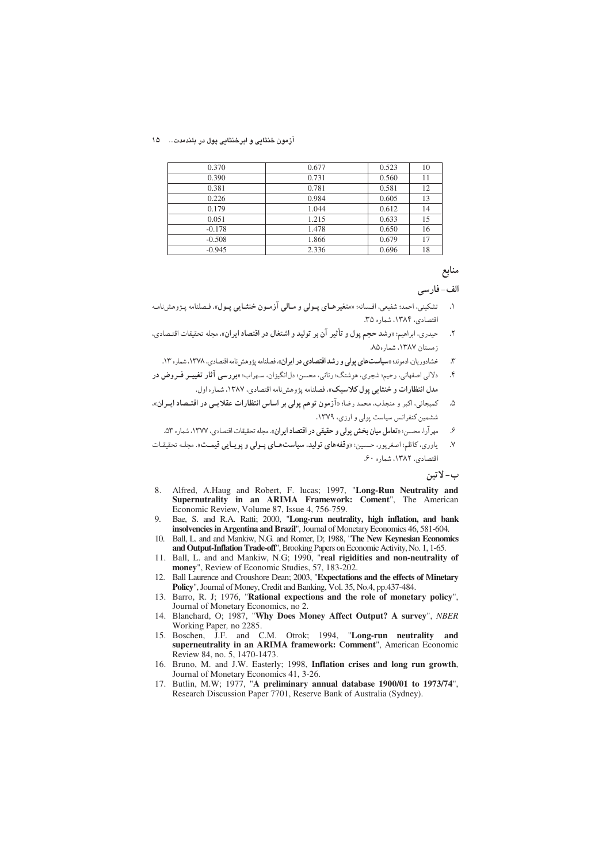آزمون خنثایی و ابرخنثایی پول در بلندمدت... ـ ۱۵

| 0.370    | 0.677 | 0.523 | 10 |
|----------|-------|-------|----|
| 0.390    | 0.731 | 0.560 | 11 |
| 0.381    | 0.781 | 0.581 | 12 |
| 0.226    | 0.984 | 0.605 | 13 |
| 0.179    | 1.044 | 0.612 | 14 |
| 0.051    | 1.215 | 0.633 | 15 |
| $-0.178$ | 1.478 | 0.650 | 16 |
| $-0.508$ | 1.866 | 0.679 | 17 |
| $-0.945$ | 2.336 | 0.696 | 18 |

# منابع

## الف-فارسي

- تشكيني، احمد؛ شفيعي، افسانه؛ «متغيرهـاي بِـولي و مـالي آزمـون خنثـايي پـول». فـصلنامه پـژوهشنامـه  $\overline{\phantom{a}}$ اقتصادي، ١٣٨۴، شماره ٣۵.
- حیدری، ابراهیم: «رشد حجم پول و تأثیر آن بر تولید و اشتغال در اقتصاد ایران»، مجله تحقیقات اقتصادی،  $\cdot$ زمستان ١٣٨٧، شماره٨.
	- خشادوریان، ادموند؛ «سیاستهای پولی و رشد اقتصادی در ایران»، فصلنامه پژوهش نامه اقتصادی، ١٣٧٨، شماره ١٣.  $\mathfrak{r}$
- دلالی اصفهانی، رحیم؛ شجری، هوشنگ؛ رنانی، محسن؛ دل|نگیزان، سهراب؛ «بررسی آثار تغییـر فـروض در  $\mathcal{S}$ مدل انتظارات و خنثایی یول کلاسیک»، فصلنامه یژوهشنامه اقتصادی، ۱۳۸۷، شماره اول.
- کمیجانی، اکبر و منجذب، محمد رضا؛ «آ**زمون توهم پولی بر اساس انتظارات عقلایـی در اقتـصاد ایـران».** ۵. ششمین کنفرانس سیاست پولی و ارزی، ۱۳۷۹.
	- مهر آرا، محسن: «**تعامل میان بخش پولی و حقیقی در اقتصاد ایران**». مجله تحقیقات اقتصادی، ۱۳۷۷، شماره ۵۳. ع
- یاوري، کاظم؛ اصغرپور، حسین؛ «وقفههاي توليد، سياستهاي پولي و پويايي قيمت». مجله تحقيقات  $\cdot$ اقتصادی. ۱۳۸۲، شماره ۶۰.

ب- لاتين

- Alfred, A.Haug and Robert, F. lucas; 1997, "Long-Run Neutrality and 8. Supernutrality in an ARIMA Framework: Coment", The American Economic Review, Volume 87, Issue 4, 756-759.
- $Q_{\perp}$ Bae, S. and R.A. Ratti; 2000, "Long-run neutrality, high inflation, and bank insolvencies in Argentina and Brazil", Journal of Monetary Economics 46, 581-604.
- 10. Ball, L. and and Mankiw, N.G. and Romer, D; 1988, "The New Keynesian Economics and Output-Inflation Trade-off", Brooking Papers on Economic Activity, No. 1, 1-65.
- 11. Ball, L. and and Mankiw, N.G; 1990, "real rigidities and non-neutrality of money", Review of Economic Studies, 57, 183-202.
- Ball Laurence and Croushore Dean; 2003, "Expectations and the effects of Minetary  $12<sup>12</sup>$ Policy", Journal of Money, Credit and Banking, Vol. 35, No.4, pp.437-484.
- 13. Barro, R. J; 1976, "Rational expections and the role of monetary policy", Journal of Monetary Economics, no 2.<br>14. Blanchard, O; 1987, "Why Does Money Affect Output? A survey", NBER
- Working Paper, no 2285.
- 15. Boschen, J.F. and C.M. Otrok; 1994, "Long-run neutrality and superneutrality in an ARIMA framework: Comment", American Economic Review 84, no. 5, 1470-1473.
- 16. Bruno, M. and J.W. Easterly; 1998, Inflation crises and long run growth, Journal of Monetary Economics 41, 3-26.
- 17. Butlin, M.W; 1977, "A preliminary annual database 1900/01 to 1973/74", Research Discussion Paper 7701, Reserve Bank of Australia (Sydney).